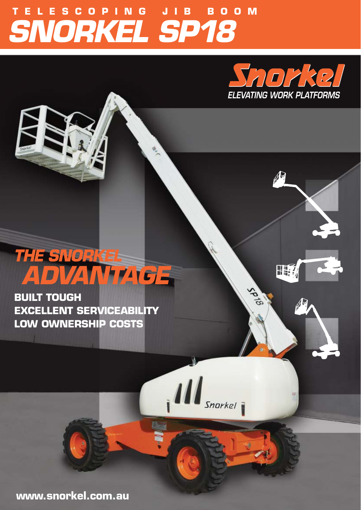# **SNORKEL SP18 TELESCOPING JIB BOOM**



N

H

**SP18** 

 $\mathbf{M}$ 

Snorkel

## **THE SNORKEL ADVANTAGE**

**BUILT TOUGH EXCELLENT SERVICEABILITY LOW OWNERSHIP COSTS**

**www.snorkel.com.au**